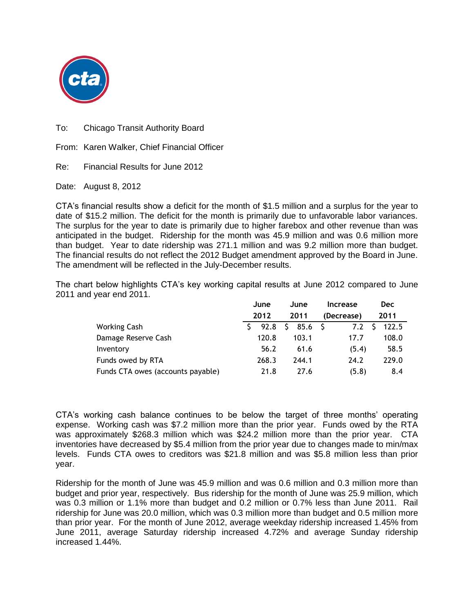

To: Chicago Transit Authority Board

From: Karen Walker, Chief Financial Officer

Re: Financial Results for June 2012

Date: August 8, 2012

CTA's financial results show a deficit for the month of \$1.5 million and a surplus for the year to date of \$15.2 million. The deficit for the month is primarily due to unfavorable labor variances. The surplus for the year to date is primarily due to higher farebox and other revenue than was anticipated in the budget. Ridership for the month was 45.9 million and was 0.6 million more than budget. Year to date ridership was 271.1 million and was 9.2 million more than budget. The financial results do not reflect the 2012 Budget amendment approved by the Board in June. The amendment will be reflected in the July-December results.

The chart below highlights CTA's key working capital results at June 2012 compared to June 2011 and year end 2011.

|                                   | June  |    | June  |  | <b>Increase</b> |  | <b>Dec</b> |  |
|-----------------------------------|-------|----|-------|--|-----------------|--|------------|--|
|                                   | 2012  |    | 2011  |  | (Decrease)      |  | 2011       |  |
| <b>Working Cash</b>               | 92.8  | S. | 85.6  |  | 7.2             |  | 122.5      |  |
| Damage Reserve Cash               | 120.8 |    | 103.1 |  | 17.7            |  | 108.0      |  |
| Inventory                         | 56.2  |    | 61.6  |  | (5.4)           |  | 58.5       |  |
| Funds owed by RTA                 | 268.3 |    | 244.1 |  | 24.2            |  | 229.0      |  |
| Funds CTA owes (accounts payable) | 21.8  |    | 27.6  |  | (5.8)           |  | 8.4        |  |

CTA's working cash balance continues to be below the target of three months' operating expense. Working cash was \$7.2 million more than the prior year. Funds owed by the RTA was approximately \$268.3 million which was \$24.2 million more than the prior year. CTA inventories have decreased by \$5.4 million from the prior year due to changes made to min/max levels. Funds CTA owes to creditors was \$21.8 million and was \$5.8 million less than prior year.

Ridership for the month of June was 45.9 million and was 0.6 million and 0.3 million more than budget and prior year, respectively. Bus ridership for the month of June was 25.9 million, which was 0.3 million or 1.1% more than budget and 0.2 million or 0.7% less than June 2011. Rail ridership for June was 20.0 million, which was 0.3 million more than budget and 0.5 million more than prior year. For the month of June 2012, average weekday ridership increased 1.45% from June 2011, average Saturday ridership increased 4.72% and average Sunday ridership increased 1.44%.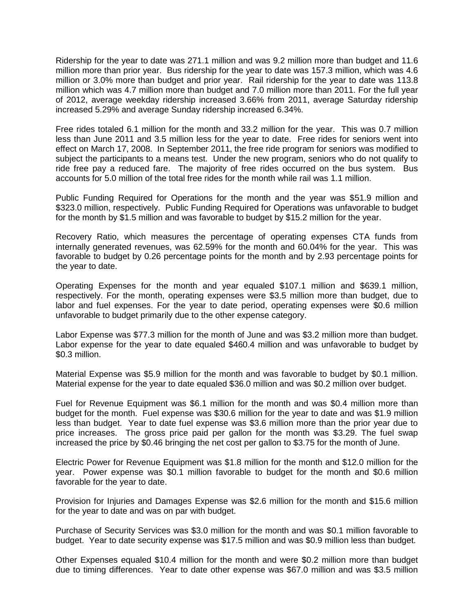Ridership for the year to date was 271.1 million and was 9.2 million more than budget and 11.6 million more than prior year. Bus ridership for the year to date was 157.3 million, which was 4.6 million or 3.0% more than budget and prior year. Rail ridership for the year to date was 113.8 million which was 4.7 million more than budget and 7.0 million more than 2011. For the full year of 2012, average weekday ridership increased 3.66% from 2011, average Saturday ridership increased 5.29% and average Sunday ridership increased 6.34%.

Free rides totaled 6.1 million for the month and 33.2 million for the year. This was 0.7 million less than June 2011 and 3.5 million less for the year to date. Free rides for seniors went into effect on March 17, 2008. In September 2011, the free ride program for seniors was modified to subject the participants to a means test. Under the new program, seniors who do not qualify to ride free pay a reduced fare. The majority of free rides occurred on the bus system. Bus accounts for 5.0 million of the total free rides for the month while rail was 1.1 million.

Public Funding Required for Operations for the month and the year was \$51.9 million and \$323.0 million, respectively. Public Funding Required for Operations was unfavorable to budget for the month by \$1.5 million and was favorable to budget by \$15.2 million for the year.

Recovery Ratio, which measures the percentage of operating expenses CTA funds from internally generated revenues, was 62.59% for the month and 60.04% for the year. This was favorable to budget by 0.26 percentage points for the month and by 2.93 percentage points for the year to date.

Operating Expenses for the month and year equaled \$107.1 million and \$639.1 million, respectively. For the month, operating expenses were \$3.5 million more than budget, due to labor and fuel expenses. For the year to date period, operating expenses were \$0.6 million unfavorable to budget primarily due to the other expense category.

Labor Expense was \$77.3 million for the month of June and was \$3.2 million more than budget. Labor expense for the year to date equaled \$460.4 million and was unfavorable to budget by \$0.3 million.

Material Expense was \$5.9 million for the month and was favorable to budget by \$0.1 million. Material expense for the year to date equaled \$36.0 million and was \$0.2 million over budget.

Fuel for Revenue Equipment was \$6.1 million for the month and was \$0.4 million more than budget for the month. Fuel expense was \$30.6 million for the year to date and was \$1.9 million less than budget. Year to date fuel expense was \$3.6 million more than the prior year due to price increases. The gross price paid per gallon for the month was \$3.29. The fuel swap increased the price by \$0.46 bringing the net cost per gallon to \$3.75 for the month of June.

Electric Power for Revenue Equipment was \$1.8 million for the month and \$12.0 million for the year. Power expense was \$0.1 million favorable to budget for the month and \$0.6 million favorable for the year to date.

Provision for Injuries and Damages Expense was \$2.6 million for the month and \$15.6 million for the year to date and was on par with budget.

Purchase of Security Services was \$3.0 million for the month and was \$0.1 million favorable to budget. Year to date security expense was \$17.5 million and was \$0.9 million less than budget.

Other Expenses equaled \$10.4 million for the month and were \$0.2 million more than budget due to timing differences. Year to date other expense was \$67.0 million and was \$3.5 million